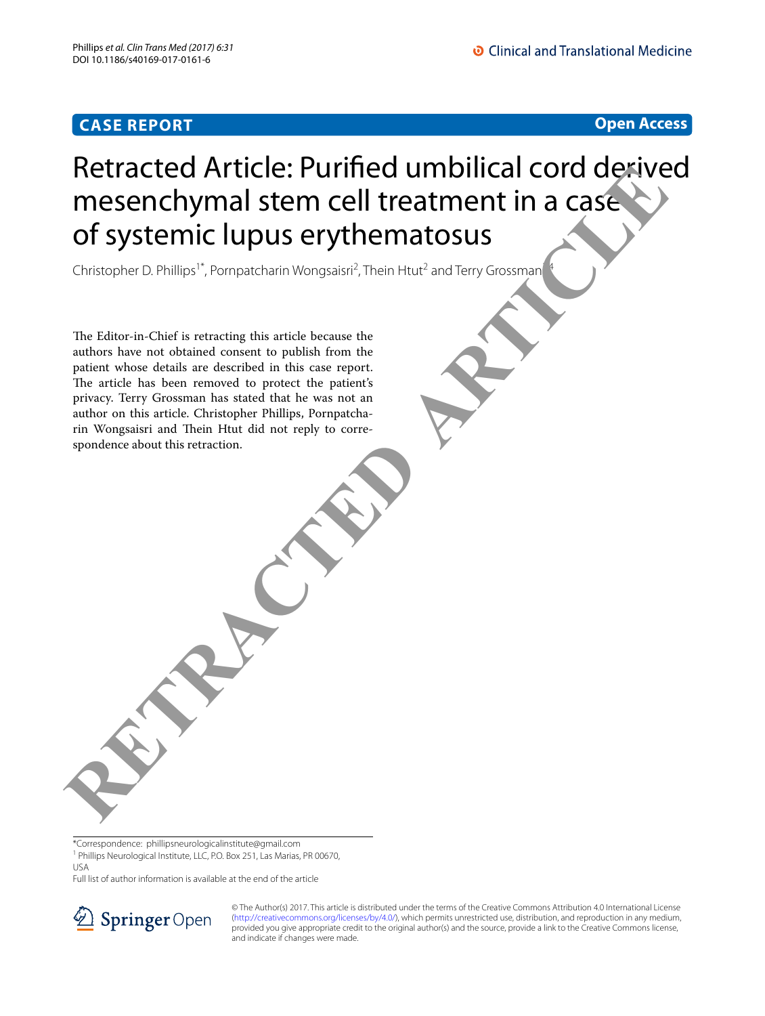

## Retracted Article: Purifed umbilical cord derived mesenchymal stem cell treatment in a case of systemic lupus erythematosus RETRACTED AFTICIE: PUITINED UMDIIICAI COTO DEPIVE<br>
messenchymal stem cell treatment in a case.<br>
Of systemic lupus erythematosus<br>
threating this article because the<br>
The Litter in Charles Transition in the principal interac

Christopher D. Phillips<sup>1\*</sup>, Pornpatcharin Wongsaisri<sup>2</sup>, Thein Htut<sup>2</sup> and Terry Grossman<sup>24</sup>

The Editor-in-Chief is retracting this article because the authors have not obtained consent to publish from the patient whose details are described in this case report. The article has been removed to protect the patient's privacy. Terry Grossman has stated that he was not an author on this article. Christopher Phillips, Pornpatcharin Wongsaisri and Thein Htut did not reply to correspondence about this retraction.

\*Correspondence: phillipsneurologicalinstitute@gmail.com

<sup>1</sup> Phillips Neurological Institute, LLC, P.O. Box 251, Las Marias, PR 00670, USA

Full list of author information is available at the end of the article



© The Author(s) 2017. This article is distributed under the terms of the Creative Commons Attribution 4.0 International License [\(http://creativecommons.org/licenses/by/4.0/\)](http://creativecommons.org/licenses/by/4.0/), which permits unrestricted use, distribution, and reproduction in any medium, provided you give appropriate credit to the original author(s) and the source, provide a link to the Creative Commons license, and indicate if changes were made.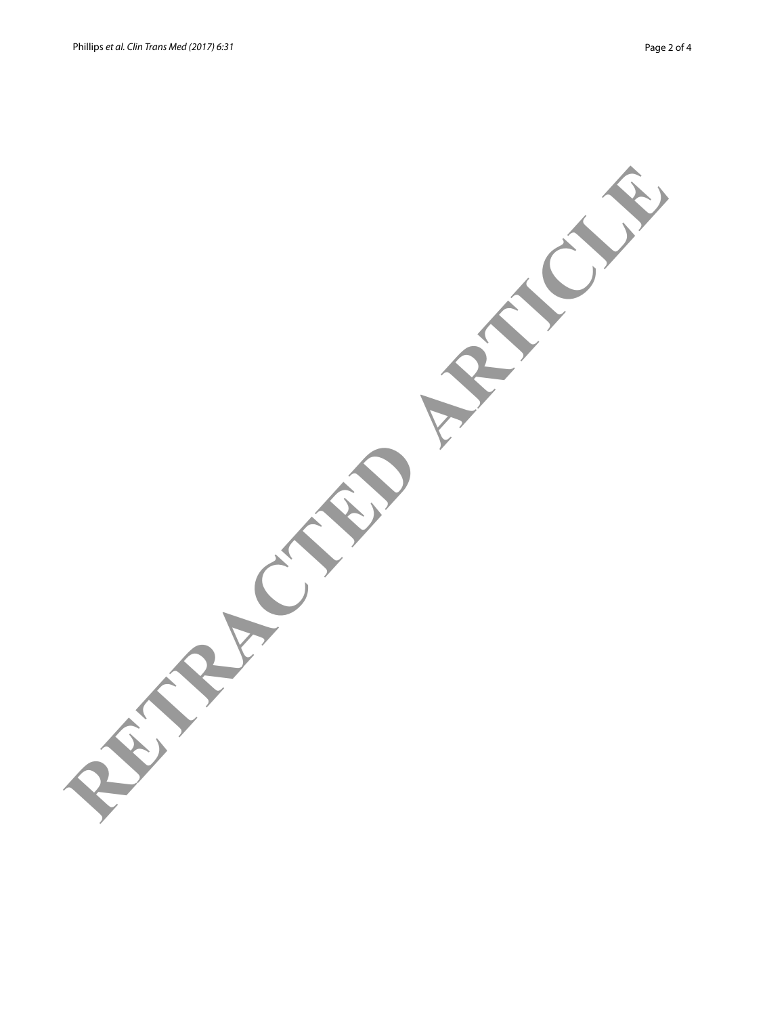RETRACTED ARTICLE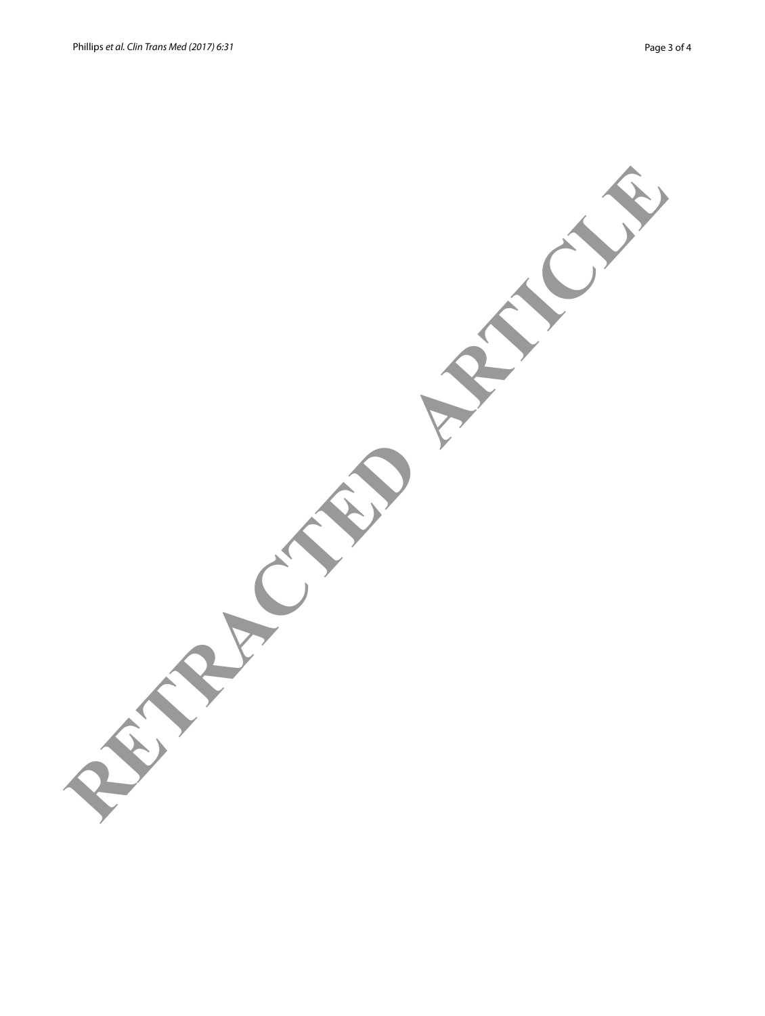RETRACTED ARTICLE